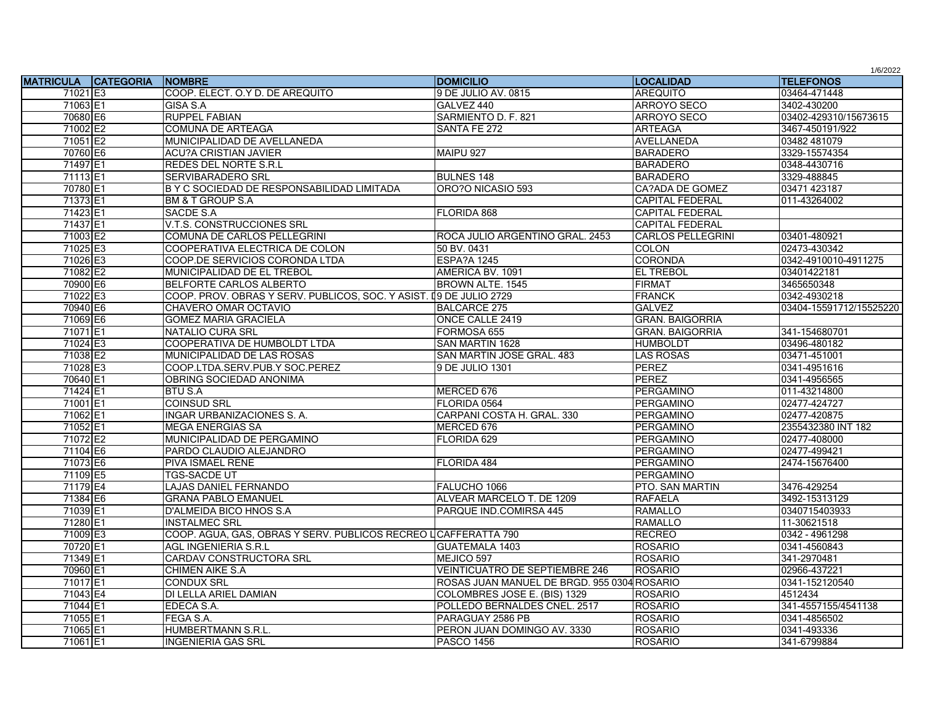|                            |                                                                    |                                             |                          | 1/6/2022                |
|----------------------------|--------------------------------------------------------------------|---------------------------------------------|--------------------------|-------------------------|
| <b>MATRICULA CATEGORIA</b> | <b>INOMBRE</b>                                                     | <b>DOMICILIO</b>                            | <b>ILOCALIDAD</b>        | <b>TELEFONOS</b>        |
| 71021 E3                   | COOP. ELECT. O.Y D. DE AREQUITO                                    | 9 DE JULIO AV. 0815                         | <b>AREQUITO</b>          | 03464-471448            |
| 71063 E1                   | GISA S.A                                                           | GALVEZ 440                                  | <b>ARROYO SECO</b>       | 3402-430200             |
| 70680 E6                   | <b>RUPPEL FABIAN</b>                                               | SARMIENTO D. F. 821                         | <b>ARROYO SECO</b>       | 03402-429310/15673615   |
| 71002 E2                   | <b>COMUNA DE ARTEAGA</b>                                           | SANTA FE 272                                | <b>ARTEAGA</b>           | 3467-450191/922         |
| 71051 E2                   | MUNICIPALIDAD DE AVELLANEDA                                        |                                             | <b>AVELLANEDA</b>        | 03482 481079            |
| 70760 E6                   | <b>ACU?A CRISTIAN JAVIER</b>                                       | MAIPU 927                                   | <b>BARADERO</b>          | 3329-15574354           |
| 71497 E1                   | <b>REDES DEL NORTE S.R.L</b>                                       |                                             | <b>BARADERO</b>          | 0348-4430716            |
| 71113E1                    | <b>SERVIBARADERO SRL</b>                                           | <b>BULNES 148</b>                           | <b>BARADERO</b>          | 3329-488845             |
| 70780 E1                   | B Y C SOCIEDAD DE RESPONSABILIDAD LIMITADA                         | ORO?O NICASIO 593                           | CA?ADA DE GOMEZ          | 03471 423187            |
| 71373 E1                   | <b>BM &amp; T GROUP S.A</b>                                        |                                             | <b>CAPITAL FEDERAL</b>   | 011-43264002            |
| 71423 E1                   | <b>SACDE S.A</b>                                                   | FLORIDA 868                                 | <b>CAPITAL FEDERAL</b>   |                         |
| 71437 E1                   | V.T.S. CONSTRUCCIONES SRL                                          |                                             | <b>CAPITAL FEDERAL</b>   |                         |
| 71003 E2                   | COMUNA DE CARLOS PELLEGRINI                                        | ROCA JULIO ARGENTINO GRAL, 2453             | <b>CARLOS PELLEGRINI</b> | 03401-480921            |
| 71025 E3                   | COOPERATIVA ELECTRICA DE COLON                                     | 50 BV, 0431                                 | <b>COLON</b>             | 02473-430342            |
| 71026 E3                   | COOP.DE SERVICIOS CORONDA LTDA                                     | <b>ESPA?A 1245</b>                          | <b>CORONDA</b>           | 0342-4910010-4911275    |
| 71082 E2                   | MUNICIPALIDAD DE EL TREBOL                                         | AMERICA BV, 1091                            | <b>EL TREBOL</b>         | 03401422181             |
| 70900 E6                   | BELFORTE CARLOS ALBERTO                                            | BROWN ALTE. 1545                            | <b>FIRMAT</b>            | 3465650348              |
| 71022 E3                   | COOP. PROV. OBRAS Y SERV. PUBLICOS, SOC. Y ASIST. 19 DE JULIO 2729 |                                             | <b>FRANCK</b>            | 0342-4930218            |
| 70940 E6                   | CHAVERO OMAR OCTAVIO                                               | <b>BALCARCE 275</b>                         | <b>GALVEZ</b>            | 03404-15591712/15525220 |
| 71069 E6                   | <b>GOMEZ MARIA GRACIELA</b>                                        | ONCE CALLE 2419                             | <b>GRAN, BAIGORRIA</b>   |                         |
| 71071E1                    | <b>NATALIO CURA SRL</b>                                            | FORMOSA 655                                 | <b>GRAN. BAIGORRIA</b>   | 341-154680701           |
| 71024 E3                   | COOPERATIVA DE HUMBOLDT LTDA                                       | <b>SAN MARTIN 1628</b>                      | <b>HUMBOLDT</b>          | 03496-480182            |
| 71038 E2                   | MUNICIPALIDAD DE LAS ROSAS                                         | SAN MARTIN JOSE GRAL. 483                   | <b>LAS ROSAS</b>         | 03471-451001            |
| 71028 E3                   | COOP.LTDA.SERV.PUB.Y SOC.PEREZ                                     | 9 DE JULIO 1301                             | <b>PEREZ</b>             | 0341-4951616            |
| 70640 E1                   | OBRING SOCIEDAD ANONIMA                                            |                                             | <b>PEREZ</b>             | 0341-4956565            |
| 71424 E1                   | <b>BTU S.A</b>                                                     | MERCED 676                                  | PERGAMINO                | 011-43214800            |
| 71001E1                    | <b>COINSUD SRL</b>                                                 | FLORIDA 0564                                | <b>PERGAMINO</b>         | 02477-424727            |
| 71062 E1                   | <b>INGAR URBANIZACIONES S. A.</b>                                  | CARPANI COSTA H. GRAL. 330                  | <b>PERGAMINO</b>         | 02477-420875            |
| 71052 E1                   | <b>MEGA ENERGIAS SA</b>                                            | MERCED 676                                  | PERGAMINO                | 2355432380 INT 182      |
| 71072 E2                   | MUNICIPALIDAD DE PERGAMINO                                         | FLORIDA 629                                 | <b>PERGAMINO</b>         | 02477-408000            |
| 71104 E6                   | PARDO CLAUDIO ALEJANDRO                                            |                                             | PERGAMINO                | 02477-499421            |
| 71073 E6                   | <b>PIVA ISMAEL RENE</b>                                            | FLORIDA 484                                 | <b>PERGAMINO</b>         | 2474-15676400           |
| 71109 E5                   | TGS-SACDE UT                                                       |                                             | <b>PERGAMINO</b>         |                         |
| 71179 E4                   | <b>LAJAS DANIEL FERNANDO</b>                                       | FALUCHO 1066                                | <b>PTO. SAN MARTIN</b>   | 3476-429254             |
| 71384 E6                   | <b>GRANA PABLO EMANUEL</b>                                         | ALVEAR MARCELO T. DE 1209                   | <b>RAFAELA</b>           | 3492-15313129           |
| 71039 E1                   | D'ALMEIDA BICO HNOS S.A                                            | PARQUE IND.COMIRSA 445                      | <b>RAMALLO</b>           | 0340715403933           |
| 71280 E1                   | <b>INSTALMEC SRL</b>                                               |                                             | <b>RAMALLO</b>           | 11-30621518             |
| 71009 E3                   | COOP. AGUA, GAS, OBRAS Y SERV. PUBLICOS RECREO LCAFFERATTA 790     |                                             | <b>RECREO</b>            | 0342 - 4961298          |
| 70720 E1                   | AGL INGENIERIA S.R.L                                               | <b>GUATEMALA 1403</b>                       | <b>ROSARIO</b>           | 0341-4560843            |
| 71349 E1                   | <b>CARDAV CONSTRUCTORA SRL</b>                                     | MEJICO 597                                  | <b>ROSARIO</b>           | 341-2970481             |
| 70960 E1                   | <b>CHIMEN AIKE S.A</b>                                             | <b>VEINTICUATRO DE SEPTIEMBRE 246</b>       | <b>ROSARIO</b>           | 02966-437221            |
| 71017 E1                   | <b>CONDUX SRL</b>                                                  | ROSAS JUAN MANUEL DE BRGD. 955 0304 ROSARIO |                          | 0341-152120540          |
| 71043 E4                   | DI LELLA ARIEL DAMIAN                                              | COLOMBRES JOSE E. (BIS) 1329                | <b>ROSARIO</b>           | 4512434                 |
| 71044 E1                   | EDECA S.A.                                                         | POLLEDO BERNALDES CNEL. 2517                | <b>ROSARIO</b>           | 341-4557155/4541138     |
| 71055 E1                   | FEGA S.A.                                                          | PARAGUAY 2586 PB                            | <b>ROSARIO</b>           | 0341-4856502            |
| 71065 E1                   | <b>HUMBERTMANN S.R.L</b>                                           | PERON JUAN DOMINGO AV. 3330                 | <b>ROSARIO</b>           | 0341-493336             |
| 71061 E1                   | <b>INGENIERIA GAS SRL</b>                                          | <b>PASCO 1456</b>                           | <b>ROSARIO</b>           | 341-6799884             |